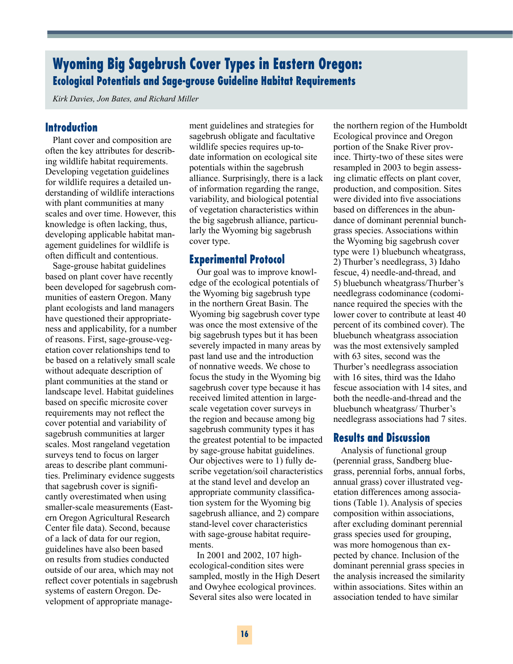# **Wyoming Big Sagebrush Cover Types in Eastern Oregon: Ecological Potentials and Sage-grouse Guideline Habitat Requirements**

*Kirk Davies, Jon Bates, and Richard Miller*

## **Introduction**

Plant cover and composition are often the key attributes for describing wildlife habitat requirements. Developing vegetation guidelines for wildlife requires a detailed understanding of wildlife interactions with plant communities at many scales and over time. However, this knowledge is often lacking, thus, developing applicable habitat management guidelines for wildlife is often difficult and contentious.

Sage-grouse habitat guidelines based on plant cover have recently been developed for sagebrush communities of eastern Oregon. Many plant ecologists and land managers have questioned their appropriateness and applicability, for a number of reasons. First, sage-grouse-vegetation cover relationships tend to be based on a relatively small scale without adequate description of plant communities at the stand or landscape level. Habitat guidelines based on specific microsite cover requirements may not reflect the cover potential and variability of sagebrush communities at larger scales. Most rangeland vegetation surveys tend to focus on larger areas to describe plant communities. Preliminary evidence suggests that sagebrush cover is significantly overestimated when using smaller-scale measurements (Eastern Oregon Agricultural Research Center file data). Second, because of a lack of data for our region, guidelines have also been based on results from studies conducted outside of our area, which may not reflect cover potentials in sagebrush systems of eastern Oregon. Development of appropriate manage-

ment guidelines and strategies for sagebrush obligate and facultative wildlife species requires up-todate information on ecological site potentials within the sagebrush alliance. Surprisingly, there is a lack of information regarding the range, variability, and biological potential of vegetation characteristics within the big sagebrush alliance, particularly the Wyoming big sagebrush cover type.

#### **Experimental Protocol**

Our goal was to improve knowledge of the ecological potentials of the Wyoming big sagebrush type in the northern Great Basin. The Wyoming big sagebrush cover type was once the most extensive of the big sagebrush types but it has been severely impacted in many areas by past land use and the introduction of nonnative weeds. We chose to focus the study in the Wyoming big sagebrush cover type because it has received limited attention in largescale vegetation cover surveys in the region and because among big sagebrush community types it has the greatest potential to be impacted by sage-grouse habitat guidelines. Our objectives were to 1) fully describe vegetation/soil characteristics at the stand level and develop an appropriate community classification system for the Wyoming big sagebrush alliance, and 2) compare stand-level cover characteristics with sage-grouse habitat requirements.

In 2001 and 2002, 107 highecological-condition sites were sampled, mostly in the High Desert and Owyhee ecological provinces. Several sites also were located in

the northern region of the Humboldt Ecological province and Oregon portion of the Snake River province. Thirty-two of these sites were resampled in 2003 to begin assessing climatic effects on plant cover, production, and composition. Sites were divided into five associations based on differences in the abundance of dominant perennial bunchgrass species. Associations within the Wyoming big sagebrush cover type were 1) bluebunch wheatgrass, 2) Thurber's needlegrass, 3) Idaho fescue, 4) needle-and-thread, and 5) bluebunch wheatgrass/Thurber's needlegrass codominance (codominance required the species with the lower cover to contribute at least 40 percent of its combined cover). The bluebunch wheatgrass association was the most extensively sampled with 63 sites, second was the Thurber's needlegrass association with 16 sites, third was the Idaho fescue association with 14 sites, and both the needle-and-thread and the bluebunch wheatgrass/ Thurber's needlegrass associations had 7 sites.

## **Results and Discussion**

Analysis of functional group (perennial grass, Sandberg bluegrass, perennial forbs, annual forbs, annual grass) cover illustrated vegetation differences among associations (Table 1). Analysis of species composition within associations, after excluding dominant perennial grass species used for grouping, was more homogenous than expected by chance. Inclusion of the dominant perennial grass species in the analysis increased the similarity within associations. Sites within an association tended to have similar